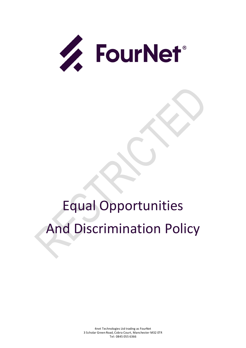

# Equal Opportunities And Discrimination Policy

4net Technologies Ltd trading as FourNet 3 Scholar Green Road, Cobra Court, Manchester M32 0TR Tel: 0845 055 6366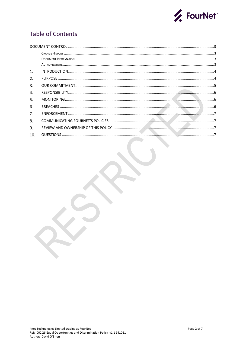

# **Table of Contents**

| 1.  |  |
|-----|--|
| 2.  |  |
| 3.  |  |
| 4.  |  |
| 5.  |  |
| 6.  |  |
| 7.  |  |
| 8.  |  |
| 9.  |  |
| 10. |  |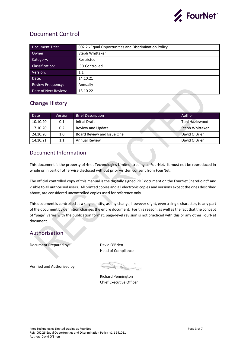

# <span id="page-2-0"></span>Document Control

| Document Title:          | 002 26 Equal Opportunities and Discrimination Policy |
|--------------------------|------------------------------------------------------|
| Owner:                   | Steph Whittaker                                      |
| Category:                | Restricted                                           |
| Classification:          | <b>ISO Controlled</b>                                |
| Version:                 | 1.1                                                  |
| Date:                    | 14.10.21                                             |
| <b>Review Frequency:</b> | Annually                                             |
| Date of Next Review:     | 13.10.22                                             |

## <span id="page-2-1"></span>Change History

| Date     | <b>Version</b> | <b>Brief Description</b>   | Author          |
|----------|----------------|----------------------------|-----------------|
| 10.10.20 | 0.1            | Initial Draft              | Toni Hazlewood  |
| 17.10.20 | 0.2            | Review and Update          | Steph Whittaker |
| 24.10.20 | 1.0            | Board Review and Issue One | David O'Brien   |
| 14.10.21 | 1.1            | <b>Annual Review</b>       | David O'Brien   |

### <span id="page-2-2"></span>Document Information

This document is the property of 4net Technologies Limited, trading as FourNet. It must not be reproduced in whole or in part of otherwise disclosed without prior written consent from FourNet.

The official controlled copy of this manual is the digitally signed PDF document on the FourNet SharePoint® and visible to all authorised users. All printed copies and all electronic copies and versions except the ones described above, are considered uncontrolled copies used for reference only.

This document is controlled as a single entity, as any change, however slight, even a single character, to any part of the document by definition changes the entire document. For this reason, as well as the fact that the concept of "page" varies with the publication format, page-level revision is not practiced with this or any other FourNet document.

## <span id="page-2-3"></span>Authorisation

Document Prepared by: David O'Brien

Head of Compliance

Verified and Authorised by:

Richard Pennington Chief Executive Officer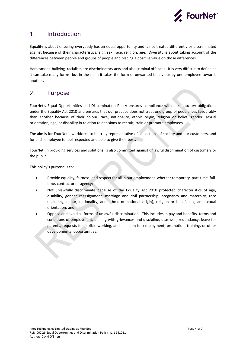

#### <span id="page-3-0"></span>1. Introduction

Equality is about ensuring everybody has an equal opportunity and is not treated differently or discriminated against because of their characteristics, e.g., sex, race, religion, age. Diversity is about taking account of the differences between people and groups of people and placing a positive value on those differences.

Harassment, bullying, racialism are discriminatory acts and also criminal offences. It is very difficult to define as it can take many forms, but in the main it takes the form of unwanted behaviour by one employee towards another.

#### <span id="page-3-1"></span> $2<sub>1</sub>$ Purpose

FourNet's Equal Opportunities and Discrimination Policy ensures compliance with our statutory obligations under the Equality Act 2010 and ensures that our practice does not treat one group of people less favourably than another because of their colour, race, nationality, ethnic origin, religion or belief, gender, sexual orientation, age, or disability in relation to decisions to recruit, train or promote employees.

The aim is for FourNet's workforce to be truly representative of all sections of society and our customers, and for each employee to feel respected and able to give their best.

FourNet, in providing services and solutions, is also committed against unlawful discrimination of customers or the public.

This policy's purpose is to:

- Provide equality, fairness, and respect for all in our employment, whether temporary, part-time, fulltime, contractor or agency;
- Not unlawfully discriminate because of the Equality Act 2010 protected characteristics of age, disability, gender reassignment, marriage and civil partnership, pregnancy and maternity, race (including colour, nationality, and ethnic or national origin), religion or belief, sex, and sexual orientation; and
- Oppose and avoid all forms of unlawful discrimination. This includes in pay and benefits, terms and conditions of employment, dealing with grievances and discipline, dismissal, redundancy, leave for parents, requests for flexible working, and selection for employment, promotion, training, or other developmental opportunities.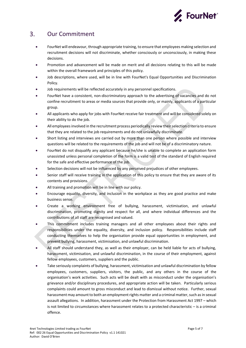

#### <span id="page-4-0"></span> $3<sub>1</sub>$ Our Commitment

- FourNet will endeavour, through appropriate training, to ensure that employees making selection and recruitment decisions will not discriminate, whether consciously or unconsciously, in making these decisions.
- Promotion and advancement will be made on merit and all decisions relating to this will be made within the overall framework and principles of this policy.
- Job descriptions, where used, will be in line with FourNet's Equal Opportunities and Discrimination Policy.
- Job requirements will be reflected accurately in any personnel specifications.
- FourNet have a consistent, non-discriminatory approach to the advertising of vacancies and do not confine recruitment to areas or media sources that provide only, or mainly, applicants of a particular group.
- All applicants who apply for jobs with FourNet receive fair treatment and will be considered solely on their ability to do the job.
- All employees involved in the recruitment process periodically review their selection criteria to ensure that they are related to the job requirements and do not unlawfully discriminate.
- Short listing and interviews are carried out by more than one person where possible and interview questions will be related to the requirements of the job and will not be of a discriminatory nature.
- FourNet do not disqualify any applicant because he/she is unable to complete an application form unassisted unless personal completion of the form is a valid test of the standard of English required for the safe and effective performance of the job.
- Selection decisions will not be influenced by any perceived prejudices of other employees.
- Senior staff will receive training in the application of this policy to ensure that they are aware of its contents and provisions.
- All training and promotion will be in line with our policy.
- Encourage equality, diversity, and inclusion in the workplace as they are good practice and make business sense.
- Create a working environment free of bullying, harassment, victimisation, and unlawful discrimination, promoting dignity and respect for all, and where individual differences and the contributions of all staff are recognised and valued.
- This commitment includes training managers and all other employees about their rights and responsibilities under the equality, diversity, and inclusion policy. Responsibilities include staff conducting themselves to help the organisation provide equal opportunities in employment, and prevent bullying, harassment, victimisation, and unlawful discrimination.
- All staff should understand they, as well as their employer, can be held liable for acts of bullying, harassment, victimisation, and unlawful discrimination, in the course of their employment, against fellow employees, customers, suppliers and the public.
- Take seriously complaints of bullying, harassment, victimisation and unlawful discrimination by fellow employees, customers, suppliers, visitors, the public, and any others in the course of the organisation's work activities. Such acts will be dealt with as misconduct under the organisation's grievance and/or disciplinary procedures, and appropriate action will be taken. Particularly serious complaints could amount to gross misconduct and lead to dismissal without notice. Further, sexual harassment may amount to both an employment rights matter and a criminal matter, such as in sexual assault allegations. In addition, harassment under the Protection from Harassment Act 1997 – which is not limited to circumstances where harassment relates to a protected characteristic – is a criminal offence.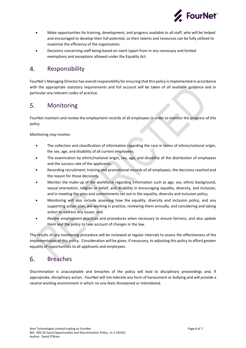

- Make opportunities for training, development, and progress available to all staff, who will be helped and encouraged to develop their full potential, so their talents and resources can be fully utilised to maximise the efficiency of the organisation.
- Decisions concerning staff being based on merit (apart from in any necessary and limited exemptions and exceptions allowed under the Equality Act.

#### <span id="page-5-0"></span>4. Responsibility

FourNet's Managing Director has overall responsibility for ensuring that this policy is implemented in accordance with the appropriate statutory requirements and full account will be taken of all available guidance and in particular any relevant codes of practice.

#### <span id="page-5-1"></span>5. Monitoring

FourNet maintain and review the employment records of all employees in order to monitor the progress of this policy.

Monitoring may involve:

- The collection and classification of information regarding the race in terms of ethnic/national origin, the sex, age, and disability of all current employees;
- The examination by ethnic/national origin, sex, age, and disability of the distribution of employees and the success rate of the applicants;
- Recording recruitment, training and promotional records of all employees, the decisions reached and the reason for those decisions;
- Monitor the make-up of the workforce regarding information such as age, sex, ethnic background, sexual orientation, religion or belief, and disability in encouraging equality, diversity, and inclusion, and in meeting the aims and commitments set out in the equality, diversity and inclusion policy;
- Monitoring will also include assessing how the equality, diversity and inclusion policy, and any supporting action plan, are working in practice, reviewing them annually, and considering and taking action to address any issues; and.
- Review employment practices and procedures when necessary to ensure fairness, and also update them and the policy to take account of changes in the law.

The results of any monitoring procedure will be reviewed at regular intervals to assess the effectiveness of the implementation of this policy. Consideration will be given, if necessary, to adjusting this policy to afford greater equality of opportunities to all applicants and employees.

#### <span id="page-5-2"></span>6. Breaches

Discrimination is unacceptable and breaches of the policy will lead to disciplinary proceedings and, if appropriate, disciplinary action. FourNet will not tolerate any form of harassment or bullying and will provide a neutral working environment in which no one feels threatened or intimidated.